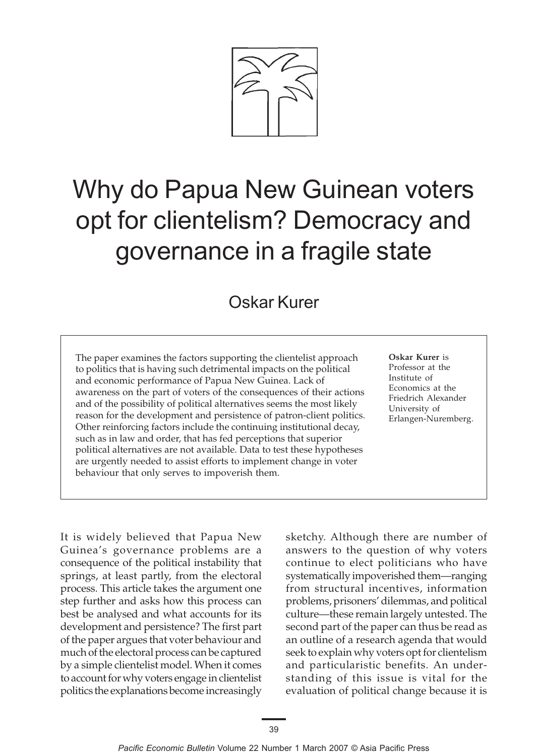

# Why do Papua New Guinean voters opt for clientelism? Democracy and governance in a fragile state

## Oskar Kurer

The paper examines the factors supporting the clientelist approach to politics that is having such detrimental impacts on the political and economic performance of Papua New Guinea. Lack of awareness on the part of voters of the consequences of their actions and of the possibility of political alternatives seems the most likely reason for the development and persistence of patron-client politics. Other reinforcing factors include the continuing institutional decay, such as in law and order, that has fed perceptions that superior political alternatives are not available. Data to test these hypotheses are urgently needed to assist efforts to implement change in voter behaviour that only serves to impoverish them.

**Oskar Kurer** is Professor at the Institute of Economics at the Friedrich Alexander University of Erlangen-Nuremberg.

It is widely believed that Papua New Guinea's governance problems are a consequence of the political instability that springs, at least partly, from the electoral process. This article takes the argument one step further and asks how this process can best be analysed and what accounts for its development and persistence? The first part of the paper argues that voter behaviour and much of the electoral process can be captured by a simple clientelist model. When it comes to account for why voters engage in clientelist politics the explanations become increasingly sketchy. Although there are number of answers to the question of why voters continue to elect politicians who have systematically impoverished them—ranging from structural incentives, information problems, prisoners' dilemmas, and political culture—these remain largely untested. The second part of the paper can thus be read as an outline of a research agenda that would seek to explain why voters opt for clientelism and particularistic benefits. An understanding of this issue is vital for the evaluation of political change because it is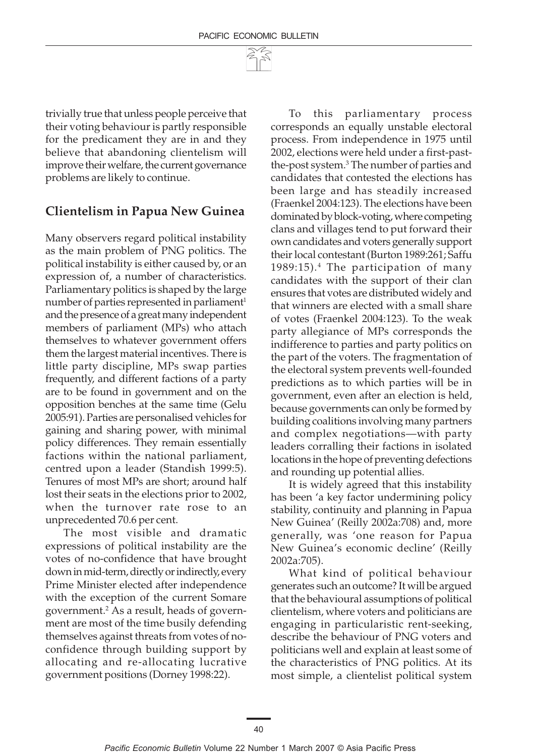trivially true that unless people perceive that their voting behaviour is partly responsible for the predicament they are in and they believe that abandoning clientelism will improve their welfare, the current governance problems are likely to continue.

#### **Clientelism in Papua New Guinea**

Many observers regard political instability as the main problem of PNG politics. The political instability is either caused by, or an expression of, a number of characteristics. Parliamentary politics is shaped by the large number of parties represented in parliament<sup>1</sup> and the presence of a great many independent members of parliament (MPs) who attach themselves to whatever government offers them the largest material incentives. There is little party discipline, MPs swap parties frequently, and different factions of a party are to be found in government and on the opposition benches at the same time (Gelu 2005:91). Parties are personalised vehicles for gaining and sharing power, with minimal policy differences. They remain essentially factions within the national parliament, centred upon a leader (Standish 1999:5). Tenures of most MPs are short; around half lost their seats in the elections prior to 2002, when the turnover rate rose to an unprecedented 70.6 per cent.

The most visible and dramatic expressions of political instability are the votes of no-confidence that have brought down in mid-term, directly or indirectly, every Prime Minister elected after independence with the exception of the current Somare government.2 As a result, heads of government are most of the time busily defending themselves against threats from votes of noconfidence through building support by allocating and re-allocating lucrative government positions (Dorney 1998:22).

To this parliamentary process corresponds an equally unstable electoral process. From independence in 1975 until 2002, elections were held under a first-pastthe-post system.3 The number of parties and candidates that contested the elections has been large and has steadily increased (Fraenkel 2004:123). The elections have been dominated by block-voting, where competing clans and villages tend to put forward their own candidates and voters generally support their local contestant (Burton 1989:261; Saffu 1989:15).4 The participation of many candidates with the support of their clan ensures that votes are distributed widely and that winners are elected with a small share of votes (Fraenkel 2004:123). To the weak party allegiance of MPs corresponds the indifference to parties and party politics on the part of the voters. The fragmentation of the electoral system prevents well-founded predictions as to which parties will be in government, even after an election is held, because governments can only be formed by building coalitions involving many partners and complex negotiations—with party leaders corralling their factions in isolated locations in the hope of preventing defections and rounding up potential allies.

It is widely agreed that this instability has been 'a key factor undermining policy stability, continuity and planning in Papua New Guinea' (Reilly 2002a:708) and, more generally, was 'one reason for Papua New Guinea's economic decline' (Reilly 2002a:705).

What kind of political behaviour generates such an outcome? It will be argued that the behavioural assumptions of political clientelism, where voters and politicians are engaging in particularistic rent-seeking, describe the behaviour of PNG voters and politicians well and explain at least some of the characteristics of PNG politics. At its most simple, a clientelist political system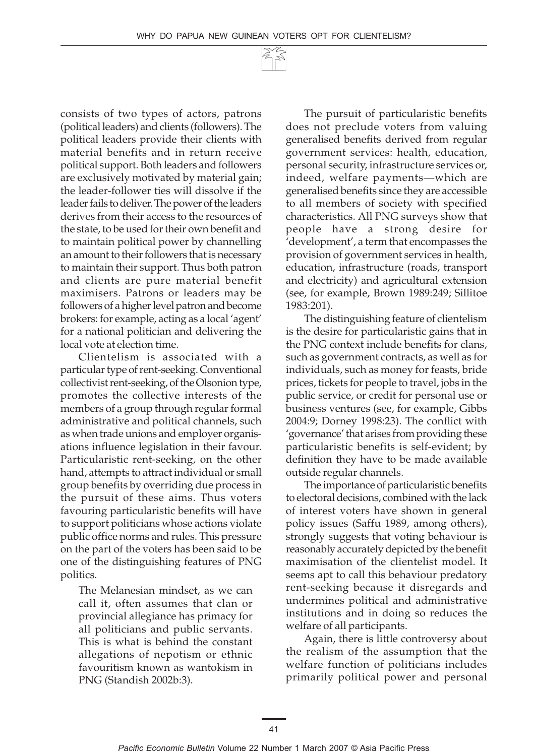consists of two types of actors, patrons (political leaders) and clients (followers). The political leaders provide their clients with material benefits and in return receive political support. Both leaders and followers are exclusively motivated by material gain; the leader-follower ties will dissolve if the leader fails to deliver. The power of the leaders derives from their access to the resources of the state, to be used for their own benefit and to maintain political power by channelling an amount to their followers that is necessary to maintain their support. Thus both patron and clients are pure material benefit maximisers. Patrons or leaders may be followers of a higher level patron and become brokers: for example, acting as a local 'agent' for a national politician and delivering the local vote at election time.

Clientelism is associated with a particular type of rent-seeking. Conventional collectivist rent-seeking, of the Olsonion type, promotes the collective interests of the members of a group through regular formal administrative and political channels, such as when trade unions and employer organisations influence legislation in their favour. Particularistic rent-seeking, on the other hand, attempts to attract individual or small group benefits by overriding due process in the pursuit of these aims. Thus voters favouring particularistic benefits will have to support politicians whose actions violate public office norms and rules. This pressure on the part of the voters has been said to be one of the distinguishing features of PNG politics.

The Melanesian mindset, as we can call it, often assumes that clan or provincial allegiance has primacy for all politicians and public servants. This is what is behind the constant allegations of nepotism or ethnic favouritism known as wantokism in PNG (Standish 2002b:3).

The pursuit of particularistic benefits does not preclude voters from valuing generalised benefits derived from regular government services: health, education, personal security, infrastructure services or, indeed, welfare payments—which are generalised benefits since they are accessible to all members of society with specified characteristics. All PNG surveys show that people have a strong desire for 'development', a term that encompasses the provision of government services in health, education, infrastructure (roads, transport and electricity) and agricultural extension (see, for example, Brown 1989:249; Sillitoe 1983:201).

The distinguishing feature of clientelism is the desire for particularistic gains that in the PNG context include benefits for clans, such as government contracts, as well as for individuals, such as money for feasts, bride prices, tickets for people to travel, jobs in the public service, or credit for personal use or business ventures (see, for example, Gibbs 2004:9; Dorney 1998:23). The conflict with 'governance' that arises from providing these particularistic benefits is self-evident; by definition they have to be made available outside regular channels.

The importance of particularistic benefits to electoral decisions, combined with the lack of interest voters have shown in general policy issues (Saffu 1989, among others), strongly suggests that voting behaviour is reasonably accurately depicted by the benefit maximisation of the clientelist model. It seems apt to call this behaviour predatory rent-seeking because it disregards and undermines political and administrative institutions and in doing so reduces the welfare of all participants.

Again, there is little controversy about the realism of the assumption that the welfare function of politicians includes primarily political power and personal

41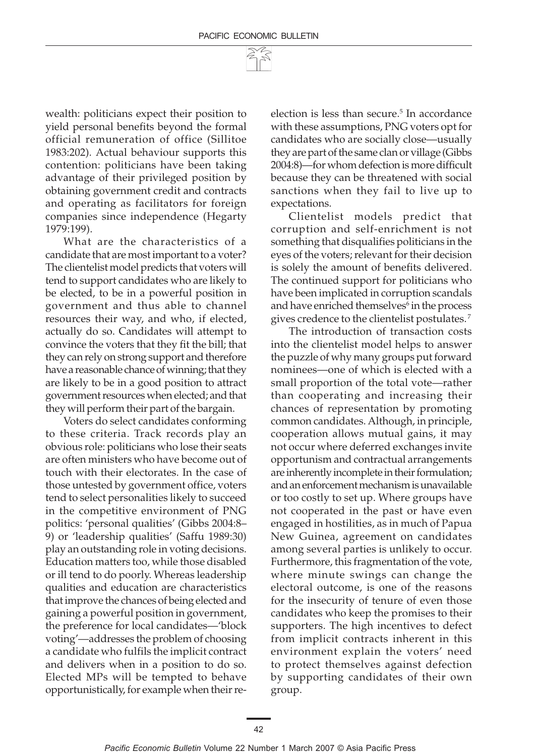wealth: politicians expect their position to yield personal benefits beyond the formal official remuneration of office (Sillitoe 1983:202). Actual behaviour supports this contention: politicians have been taking advantage of their privileged position by obtaining government credit and contracts and operating as facilitators for foreign companies since independence (Hegarty 1979:199).

What are the characteristics of a candidate that are most important to a voter? The clientelist model predicts that voters will tend to support candidates who are likely to be elected, to be in a powerful position in government and thus able to channel resources their way, and who, if elected, actually do so. Candidates will attempt to convince the voters that they fit the bill; that they can rely on strong support and therefore have a reasonable chance of winning; that they are likely to be in a good position to attract government resources when elected; and that they will perform their part of the bargain.

Voters do select candidates conforming to these criteria. Track records play an obvious role: politicians who lose their seats are often ministers who have become out of touch with their electorates. In the case of those untested by government office, voters tend to select personalities likely to succeed in the competitive environment of PNG politics: 'personal qualities' (Gibbs 2004:8– 9) or 'leadership qualities' (Saffu 1989:30) play an outstanding role in voting decisions. Education matters too, while those disabled or ill tend to do poorly. Whereas leadership qualities and education are characteristics that improve the chances of being elected and gaining a powerful position in government, the preference for local candidates—'block voting'—addresses the problem of choosing a candidate who fulfils the implicit contract and delivers when in a position to do so. Elected MPs will be tempted to behave opportunistically, for example when their re-

election is less than secure.<sup>5</sup> In accordance with these assumptions, PNG voters opt for candidates who are socially close—usually they are part of the same clan or village (Gibbs 2004:8)—for whom defection is more difficult because they can be threatened with social sanctions when they fail to live up to expectations.

Clientelist models predict that corruption and self-enrichment is not something that disqualifies politicians in the eyes of the voters; relevant for their decision is solely the amount of benefits delivered. The continued support for politicians who have been implicated in corruption scandals and have enriched themselves $^6$  in the process gives credence to the clientelist postulates. 7

The introduction of transaction costs into the clientelist model helps to answer the puzzle of why many groups put forward nominees—one of which is elected with a small proportion of the total vote—rather than cooperating and increasing their chances of representation by promoting common candidates. Although, in principle, cooperation allows mutual gains, it may not occur where deferred exchanges invite opportunism and contractual arrangements are inherently incomplete in their formulation; and an enforcement mechanism is unavailable or too costly to set up. Where groups have not cooperated in the past or have even engaged in hostilities, as in much of Papua New Guinea, agreement on candidates among several parties is unlikely to occur. Furthermore, this fragmentation of the vote, where minute swings can change the electoral outcome, is one of the reasons for the insecurity of tenure of even those candidates who keep the promises to their supporters. The high incentives to defect from implicit contracts inherent in this environment explain the voters' need to protect themselves against defection by supporting candidates of their own group.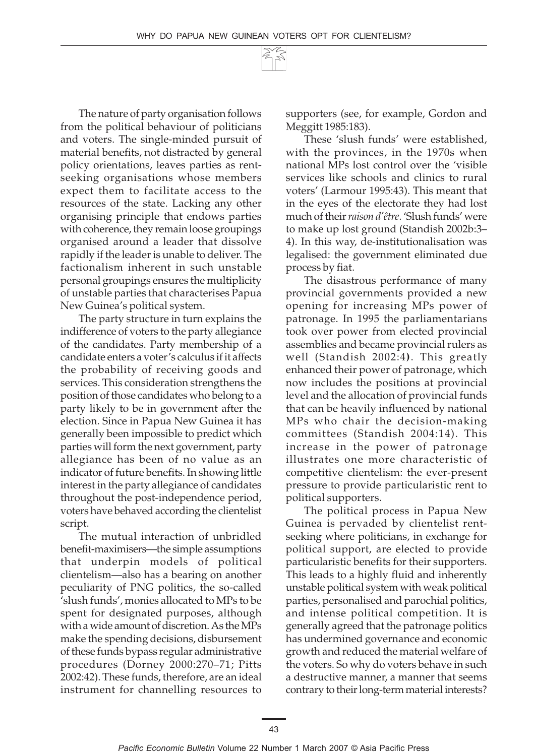The nature of party organisation follows from the political behaviour of politicians and voters. The single-minded pursuit of material benefits, not distracted by general policy orientations, leaves parties as rentseeking organisations whose members expect them to facilitate access to the resources of the state. Lacking any other organising principle that endows parties with coherence, they remain loose groupings organised around a leader that dissolve rapidly if the leader is unable to deliver. The factionalism inherent in such unstable personal groupings ensures the multiplicity of unstable parties that characterises Papua New Guinea's political system.

The party structure in turn explains the indifference of voters to the party allegiance of the candidates. Party membership of a candidate enters a voter's calculus if it affects the probability of receiving goods and services. This consideration strengthens the position of those candidates who belong to a party likely to be in government after the election. Since in Papua New Guinea it has generally been impossible to predict which parties will form the next government, party allegiance has been of no value as an indicator of future benefits. In showing little interest in the party allegiance of candidates throughout the post-independence period, voters have behaved according the clientelist script.

The mutual interaction of unbridled benefit-maximisers—the simple assumptions that underpin models of political clientelism—also has a bearing on another peculiarity of PNG politics, the so-called 'slush funds', monies allocated to MPs to be spent for designated purposes, although with a wide amount of discretion. As the MPs make the spending decisions, disbursement of these funds bypass regular administrative procedures (Dorney 2000:270–71; Pitts 2002:42). These funds, therefore, are an ideal instrument for channelling resources to

supporters (see, for example, Gordon and Meggitt 1985:183).

These 'slush funds' were established, with the provinces, in the 1970s when national MPs lost control over the 'visible services like schools and clinics to rural voters' (Larmour 1995:43). This meant that in the eyes of the electorate they had lost much of their *raison d'être*. 'Slush funds' were to make up lost ground (Standish 2002b:3– 4). In this way, de-institutionalisation was legalised: the government eliminated due process by fiat.

The disastrous performance of many provincial governments provided a new opening for increasing MPs power of patronage. In 1995 the parliamentarians took over power from elected provincial assemblies and became provincial rulers as well (Standish 2002:4**)**. This greatly enhanced their power of patronage, which now includes the positions at provincial level and the allocation of provincial funds that can be heavily influenced by national MPs who chair the decision-making committees (Standish 2004:14). This increase in the power of patronage illustrates one more characteristic of competitive clientelism: the ever-present pressure to provide particularistic rent to political supporters.

The political process in Papua New Guinea is pervaded by clientelist rentseeking where politicians, in exchange for political support, are elected to provide particularistic benefits for their supporters. This leads to a highly fluid and inherently unstable political system with weak political parties, personalised and parochial politics, and intense political competition. It is generally agreed that the patronage politics has undermined governance and economic growth and reduced the material welfare of the voters. So why do voters behave in such a destructive manner, a manner that seems contrary to their long-term material interests?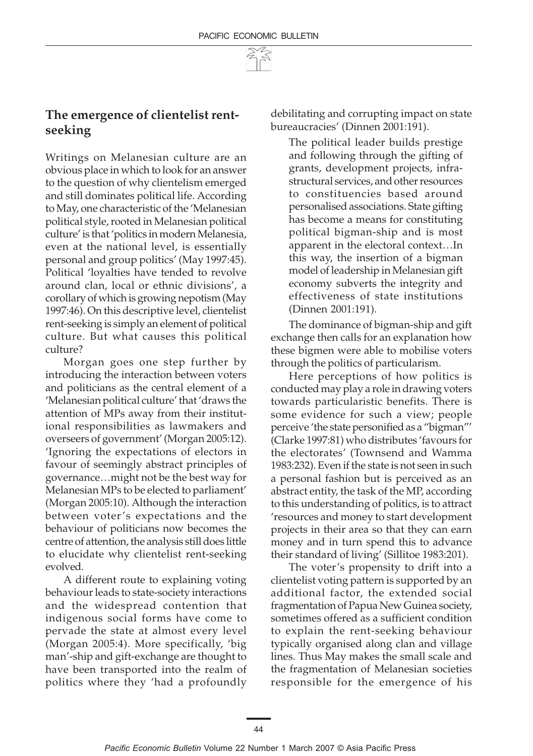

#### **The emergence of clientelist rentseeking**

Writings on Melanesian culture are an obvious place in which to look for an answer to the question of why clientelism emerged and still dominates political life. According to May, one characteristic of the 'Melanesian political style, rooted in Melanesian political culture' is that 'politics in modern Melanesia, even at the national level, is essentially personal and group politics' (May 1997:45). Political 'loyalties have tended to revolve around clan, local or ethnic divisions', a corollary of which is growing nepotism (May 1997:46). On this descriptive level, clientelist rent-seeking is simply an element of political culture. But what causes this political culture?

Morgan goes one step further by introducing the interaction between voters and politicians as the central element of a 'Melanesian political culture' that 'draws the attention of MPs away from their institutional responsibilities as lawmakers and overseers of government' (Morgan 2005:12). 'Ignoring the expectations of electors in favour of seemingly abstract principles of governance…might not be the best way for Melanesian MPs to be elected to parliament' (Morgan 2005:10). Although the interaction between voter's expectations and the behaviour of politicians now becomes the centre of attention, the analysis still does little to elucidate why clientelist rent-seeking evolved.

A different route to explaining voting behaviour leads to state-society interactions and the widespread contention that indigenous social forms have come to pervade the state at almost every level (Morgan 2005:4). More specifically, 'big man'-ship and gift-exchange are thought to have been transported into the realm of politics where they 'had a profoundly debilitating and corrupting impact on state bureaucracies' (Dinnen 2001:191).

The political leader builds prestige and following through the gifting of grants, development projects, infrastructural services, and other resources to constituencies based around personalised associations. State gifting has become a means for constituting political bigman-ship and is most apparent in the electoral context…In this way, the insertion of a bigman model of leadership in Melanesian gift economy subverts the integrity and effectiveness of state institutions (Dinnen 2001:191).

The dominance of bigman-ship and gift exchange then calls for an explanation how these bigmen were able to mobilise voters through the politics of particularism.

Here perceptions of how politics is conducted may play a role in drawing voters towards particularistic benefits. There is some evidence for such a view; people perceive 'the state personified as a "bigman"' (Clarke 1997:81) who distributes 'favours for the electorates' (Townsend and Wamma 1983:232). Even if the state is not seen in such a personal fashion but is perceived as an abstract entity, the task of the MP, according to this understanding of politics, is to attract 'resources and money to start development projects in their area so that they can earn money and in turn spend this to advance their standard of living' (Sillitoe 1983:201).

The voter's propensity to drift into a clientelist voting pattern is supported by an additional factor, the extended social fragmentation of Papua New Guinea society, sometimes offered as a sufficient condition to explain the rent-seeking behaviour typically organised along clan and village lines. Thus May makes the small scale and the fragmentation of Melanesian societies responsible for the emergence of his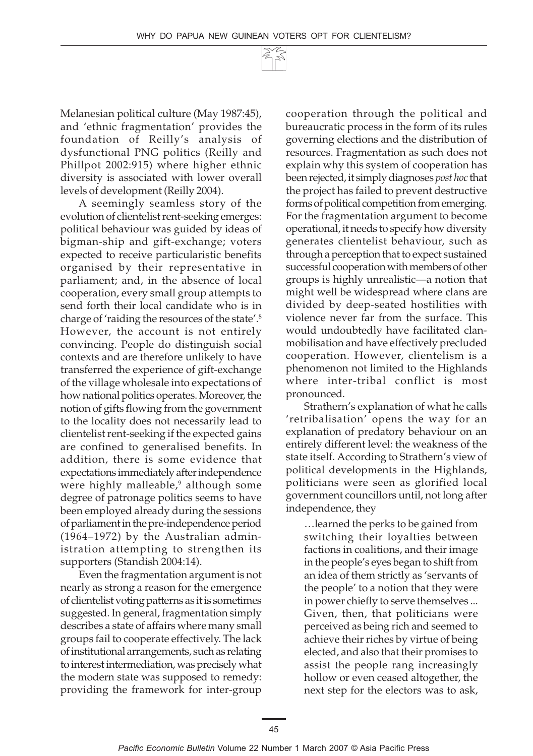Melanesian political culture (May 1987:45), and 'ethnic fragmentation' provides the foundation of Reilly's analysis of dysfunctional PNG politics (Reilly and Phillpot 2002:915) where higher ethnic diversity is associated with lower overall levels of development (Reilly 2004).

A seemingly seamless story of the evolution of clientelist rent-seeking emerges: political behaviour was guided by ideas of bigman-ship and gift-exchange; voters expected to receive particularistic benefits organised by their representative in parliament; and, in the absence of local cooperation, every small group attempts to send forth their local candidate who is in charge of 'raiding the resources of the state'.8 However, the account is not entirely convincing. People do distinguish social contexts and are therefore unlikely to have transferred the experience of gift-exchange of the village wholesale into expectations of how national politics operates. Moreover, the notion of gifts flowing from the government to the locality does not necessarily lead to clientelist rent-seeking if the expected gains are confined to generalised benefits. In addition, there is some evidence that expectations immediately after independence were highly malleable,<sup>9</sup> although some degree of patronage politics seems to have been employed already during the sessions of parliament in the pre-independence period (1964–1972) by the Australian administration attempting to strengthen its supporters (Standish 2004:14).

Even the fragmentation argument is not nearly as strong a reason for the emergence of clientelist voting patterns as it is sometimes suggested. In general, fragmentation simply describes a state of affairs where many small groups fail to cooperate effectively. The lack of institutional arrangements, such as relating to interest intermediation, was precisely what the modern state was supposed to remedy: providing the framework for inter-group cooperation through the political and bureaucratic process in the form of its rules governing elections and the distribution of resources. Fragmentation as such does not explain why this system of cooperation has been rejected, it simply diagnoses *post hoc* that the project has failed to prevent destructive forms of political competition from emerging. For the fragmentation argument to become operational, it needs to specify how diversity generates clientelist behaviour, such as through a perception that to expect sustained successful cooperation with members of other groups is highly unrealistic—a notion that might well be widespread where clans are divided by deep-seated hostilities with violence never far from the surface. This would undoubtedly have facilitated clanmobilisation and have effectively precluded cooperation. However, clientelism is a phenomenon not limited to the Highlands where inter-tribal conflict is most pronounced.

Strathern's explanation of what he calls 'retribalisation' opens the way for an explanation of predatory behaviour on an entirely different level: the weakness of the state itself. According to Strathern's view of political developments in the Highlands, politicians were seen as glorified local government councillors until, not long after independence, they

…learned the perks to be gained from switching their loyalties between factions in coalitions, and their image in the people's eyes began to shift from an idea of them strictly as 'servants of the people' to a notion that they were in power chiefly to serve themselves ... Given, then, that politicians were perceived as being rich and seemed to achieve their riches by virtue of being elected, and also that their promises to assist the people rang increasingly hollow or even ceased altogether, the next step for the electors was to ask,

45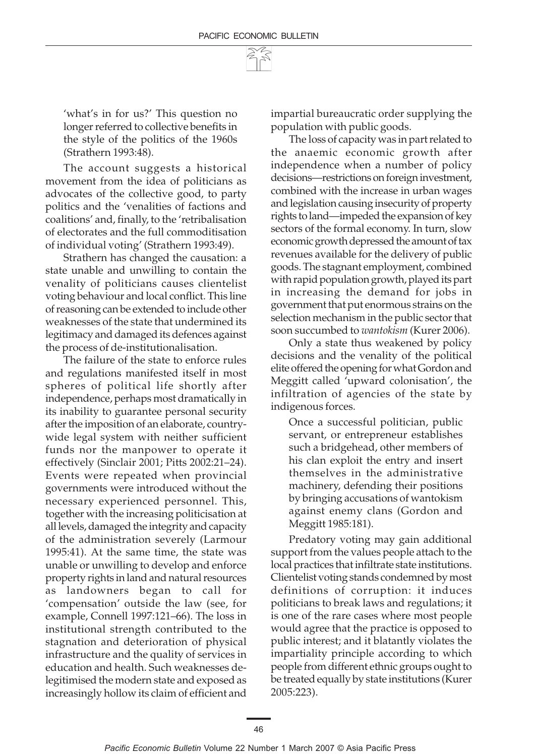'what's in for us?' This question no longer referred to collective benefits in the style of the politics of the 1960s (Strathern 1993:48).

The account suggests a historical movement from the idea of politicians as advocates of the collective good, to party politics and the 'venalities of factions and coalitions' and, finally, to the 'retribalisation of electorates and the full commoditisation of individual voting' (Strathern 1993:49).

Strathern has changed the causation: a state unable and unwilling to contain the venality of politicians causes clientelist voting behaviour and local conflict. This line of reasoning can be extended to include other weaknesses of the state that undermined its legitimacy and damaged its defences against the process of de-institutionalisation.

The failure of the state to enforce rules and regulations manifested itself in most spheres of political life shortly after independence, perhaps most dramatically in its inability to guarantee personal security after the imposition of an elaborate, countrywide legal system with neither sufficient funds nor the manpower to operate it effectively (Sinclair 2001; Pitts 2002:21–24). Events were repeated when provincial governments were introduced without the necessary experienced personnel. This, together with the increasing politicisation at all levels, damaged the integrity and capacity of the administration severely (Larmour 1995:41). At the same time, the state was unable or unwilling to develop and enforce property rights in land and natural resources as landowners began to call for 'compensation' outside the law (see, for example, Connell 1997:121–66). The loss in institutional strength contributed to the stagnation and deterioration of physical infrastructure and the quality of services in education and health. Such weaknesses delegitimised the modern state and exposed as increasingly hollow its claim of efficient and

impartial bureaucratic order supplying the population with public goods.

The loss of capacity was in part related to the anaemic economic growth after independence when a number of policy decisions—restrictions on foreign investment, combined with the increase in urban wages and legislation causing insecurity of property rights to land—impeded the expansion of key sectors of the formal economy. In turn, slow economic growth depressed the amount of tax revenues available for the delivery of public goods. The stagnant employment, combined with rapid population growth, played its part in increasing the demand for jobs in government that put enormous strains on the selection mechanism in the public sector that soon succumbed to *wantokism* (Kurer 2006).

Only a state thus weakened by policy decisions and the venality of the political elite offered the opening for what Gordon and Meggitt called 'upward colonisation', the infiltration of agencies of the state by indigenous forces.

Once a successful politician, public servant, or entrepreneur establishes such a bridgehead, other members of his clan exploit the entry and insert themselves in the administrative machinery, defending their positions by bringing accusations of wantokism against enemy clans (Gordon and Meggitt 1985:181).

Predatory voting may gain additional support from the values people attach to the local practices that infiltrate state institutions. Clientelist voting stands condemned by most definitions of corruption: it induces politicians to break laws and regulations; it is one of the rare cases where most people would agree that the practice is opposed to public interest; and it blatantly violates the impartiality principle according to which people from different ethnic groups ought to be treated equally by state institutions (Kurer 2005:223).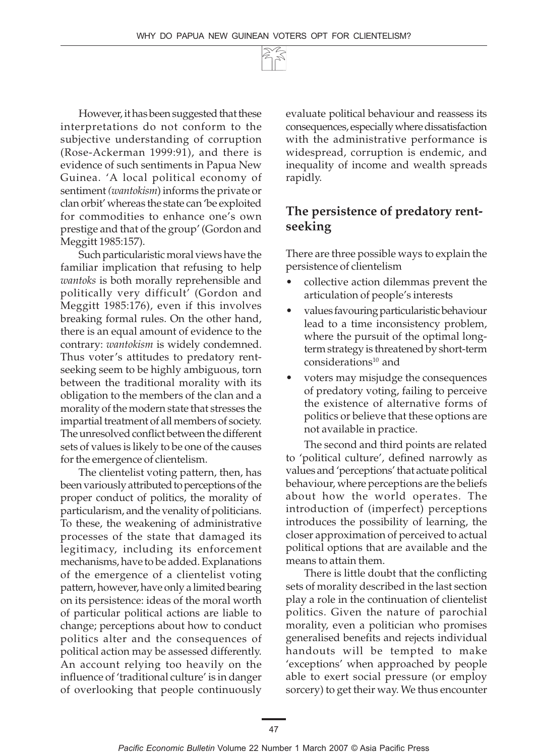

However, it has been suggested that these interpretations do not conform to the subjective understanding of corruption (Rose-Ackerman 1999:91), and there is evidence of such sentiments in Papua New Guinea. 'A local political economy of sentiment *(wantokism*) informs the private or clan orbit' whereas the state can 'be exploited for commodities to enhance one's own prestige and that of the group' (Gordon and Meggitt 1985:157).

Such particularistic moral views have the familiar implication that refusing to help *wantoks* is both morally reprehensible and politically very difficult' (Gordon and Meggitt 1985:176), even if this involves breaking formal rules. On the other hand, there is an equal amount of evidence to the contrary: *wantokism* is widely condemned. Thus voter's attitudes to predatory rentseeking seem to be highly ambiguous, torn between the traditional morality with its obligation to the members of the clan and a morality of the modern state that stresses the impartial treatment of all members of society. The unresolved conflict between the different sets of values is likely to be one of the causes for the emergence of clientelism.

The clientelist voting pattern, then, has been variously attributed to perceptions of the proper conduct of politics, the morality of particularism, and the venality of politicians. To these, the weakening of administrative processes of the state that damaged its legitimacy, including its enforcement mechanisms, have to be added. Explanations of the emergence of a clientelist voting pattern, however, have only a limited bearing on its persistence: ideas of the moral worth of particular political actions are liable to change; perceptions about how to conduct politics alter and the consequences of political action may be assessed differently. An account relying too heavily on the influence of 'traditional culture' is in danger of overlooking that people continuously evaluate political behaviour and reassess its consequences, especially where dissatisfaction with the administrative performance is widespread, corruption is endemic, and inequality of income and wealth spreads rapidly.

### **The persistence of predatory rentseeking**

There are three possible ways to explain the persistence of clientelism

- collective action dilemmas prevent the articulation of people's interests
- values favouring particularistic behaviour lead to a time inconsistency problem, where the pursuit of the optimal longterm strategy is threatened by short-term considerations $10$  and
- voters may misjudge the consequences of predatory voting, failing to perceive the existence of alternative forms of politics or believe that these options are not available in practice.

The second and third points are related to 'political culture', defined narrowly as values and 'perceptions' that actuate political behaviour, where perceptions are the beliefs about how the world operates. The introduction of (imperfect) perceptions introduces the possibility of learning, the closer approximation of perceived to actual political options that are available and the means to attain them.

There is little doubt that the conflicting sets of morality described in the last section play a role in the continuation of clientelist politics. Given the nature of parochial morality, even a politician who promises generalised benefits and rejects individual handouts will be tempted to make 'exceptions' when approached by people able to exert social pressure (or employ sorcery) to get their way. We thus encounter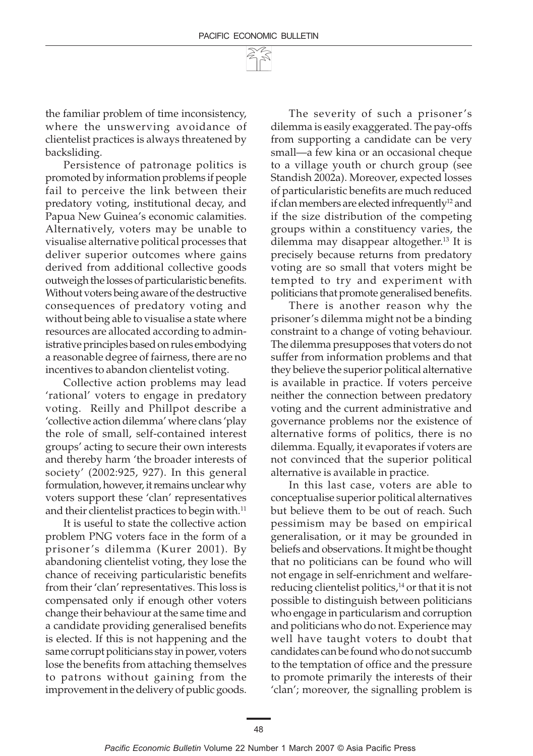the familiar problem of time inconsistency, where the unswerving avoidance of clientelist practices is always threatened by backsliding.

Persistence of patronage politics is promoted by information problems if people fail to perceive the link between their predatory voting, institutional decay, and Papua New Guinea's economic calamities. Alternatively, voters may be unable to visualise alternative political processes that deliver superior outcomes where gains derived from additional collective goods outweigh the losses of particularistic benefits. Without voters being aware of the destructive consequences of predatory voting and without being able to visualise a state where resources are allocated according to administrative principles based on rules embodying a reasonable degree of fairness, there are no incentives to abandon clientelist voting.

Collective action problems may lead 'rational' voters to engage in predatory voting. Reilly and Phillpot describe a 'collective action dilemma' where clans 'play the role of small, self-contained interest groups' acting to secure their own interests and thereby harm 'the broader interests of society' (2002:925, 927). In this general formulation, however, it remains unclear why voters support these 'clan' representatives and their clientelist practices to begin with.<sup>11</sup>

It is useful to state the collective action problem PNG voters face in the form of a prisoner's dilemma (Kurer 2001). By abandoning clientelist voting, they lose the chance of receiving particularistic benefits from their 'clan' representatives. This loss is compensated only if enough other voters change their behaviour at the same time and a candidate providing generalised benefits is elected. If this is not happening and the same corrupt politicians stay in power, voters lose the benefits from attaching themselves to patrons without gaining from the improvement in the delivery of public goods.

The severity of such a prisoner's dilemma is easily exaggerated. The pay-offs from supporting a candidate can be very small—a few kina or an occasional cheque to a village youth or church group (see Standish 2002a). Moreover, expected losses of particularistic benefits are much reduced if clan members are elected infrequently<sup>12</sup> and if the size distribution of the competing groups within a constituency varies, the dilemma may disappear altogether.13 It is precisely because returns from predatory voting are so small that voters might be tempted to try and experiment with politicians that promote generalised benefits.

There is another reason why the prisoner's dilemma might not be a binding constraint to a change of voting behaviour. The dilemma presupposes that voters do not suffer from information problems and that they believe the superior political alternative is available in practice. If voters perceive neither the connection between predatory voting and the current administrative and governance problems nor the existence of alternative forms of politics, there is no dilemma. Equally, it evaporates if voters are not convinced that the superior political alternative is available in practice.

In this last case, voters are able to conceptualise superior political alternatives but believe them to be out of reach. Such pessimism may be based on empirical generalisation, or it may be grounded in beliefs and observations. It might be thought that no politicians can be found who will not engage in self-enrichment and welfarereducing clientelist politics,<sup>14</sup> or that it is not possible to distinguish between politicians who engage in particularism and corruption and politicians who do not. Experience may well have taught voters to doubt that candidates can be found who do not succumb to the temptation of office and the pressure to promote primarily the interests of their 'clan'; moreover, the signalling problem is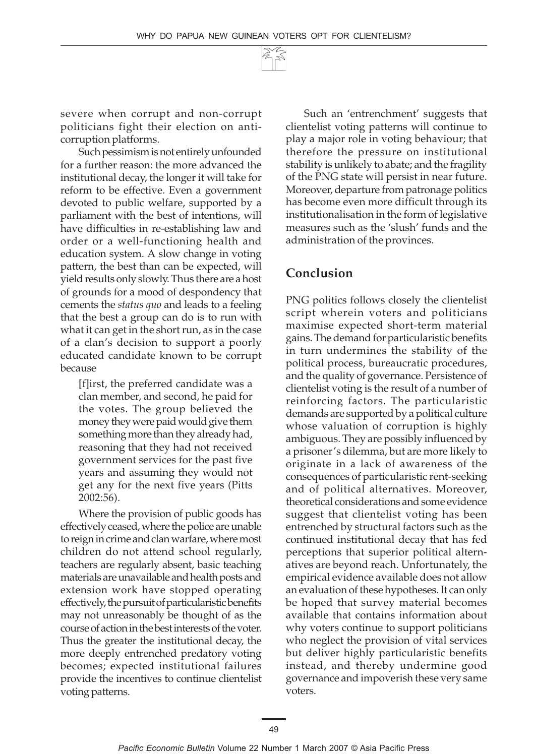WHY DO PAPUA NEW GUINEAN VOTERS OPT FOR CLIENTELISM?

### **Conclusion**

PNG politics follows closely the clientelist script wherein voters and politicians maximise expected short-term material gains. The demand for particularistic benefits in turn undermines the stability of the political process, bureaucratic procedures, and the quality of governance. Persistence of clientelist voting is the result of a number of reinforcing factors. The particularistic demands are supported by a political culture whose valuation of corruption is highly ambiguous. They are possibly influenced by a prisoner's dilemma, but are more likely to originate in a lack of awareness of the consequences of particularistic rent-seeking and of political alternatives. Moreover, theoretical considerations and some evidence suggest that clientelist voting has been entrenched by structural factors such as the continued institutional decay that has fed perceptions that superior political alternatives are beyond reach. Unfortunately, the empirical evidence available does not allow an evaluation of these hypotheses. It can only be hoped that survey material becomes available that contains information about why voters continue to support politicians who neglect the provision of vital services but deliver highly particularistic benefits instead, and thereby undermine good governance and impoverish these very same voters.

Such an 'entrenchment' suggests that clientelist voting patterns will continue to play a major role in voting behaviour; that therefore the pressure on institutional stability is unlikely to abate; and the fragility of the PNG state will persist in near future. Moreover, departure from patronage politics has become even more difficult through its institutionalisation in the form of legislative

severe when corrupt and non-corrupt politicians fight their election on anticorruption platforms.

Such pessimism is not entirely unfounded for a further reason: the more advanced the institutional decay, the longer it will take for reform to be effective. Even a government devoted to public welfare, supported by a parliament with the best of intentions, will have difficulties in re-establishing law and order or a well-functioning health and education system. A slow change in voting pattern, the best than can be expected, will yield results only slowly. Thus there are a host of grounds for a mood of despondency that cements the *status quo* and leads to a feeling that the best a group can do is to run with what it can get in the short run, as in the case of a clan's decision to support a poorly educated candidate known to be corrupt because

[f]irst, the preferred candidate was a clan member, and second, he paid for the votes. The group believed the money they were paid would give them something more than they already had, reasoning that they had not received government services for the past five years and assuming they would not get any for the next five years (Pitts 2002:56).

Where the provision of public goods has effectively ceased, where the police are unable to reign in crime and clan warfare, where most children do not attend school regularly, teachers are regularly absent, basic teaching materials are unavailable and health posts and extension work have stopped operating effectively, the pursuit of particularistic benefits may not unreasonably be thought of as the course of action in the best interests of the voter. Thus the greater the institutional decay, the more deeply entrenched predatory voting becomes; expected institutional failures provide the incentives to continue clientelist voting patterns.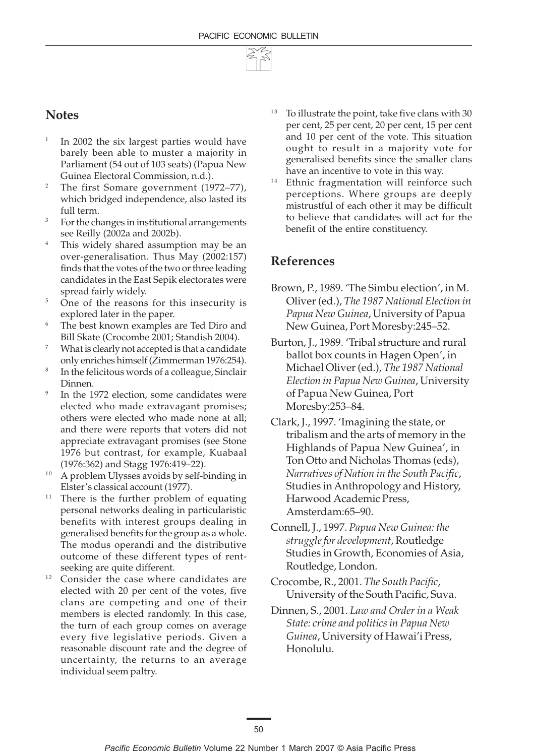

#### **Notes**

- In 2002 the six largest parties would have barely been able to muster a majority in Parliament (54 out of 103 seats) (Papua New Guinea Electoral Commission, n.d.).
- <sup>2</sup> The first Somare government (1972–77), which bridged independence, also lasted its full term.
- <sup>3</sup> For the changes in institutional arrangements see Reilly (2002a and 2002b).
- <sup>4</sup> This widely shared assumption may be an over-generalisation. Thus May (2002:157) finds that the votes of the two or three leading candidates in the East Sepik electorates were spread fairly widely.
- <sup>5</sup> One of the reasons for this insecurity is explored later in the paper.
- The best known examples are Ted Diro and Bill Skate (Crocombe 2001; Standish 2004).
- What is clearly not accepted is that a candidate only enriches himself (Zimmerman 1976:254).
- In the felicitous words of a colleague, Sinclair Dinnen.
- In the 1972 election, some candidates were elected who made extravagant promises; others were elected who made none at all; and there were reports that voters did not appreciate extravagant promises (see Stone 1976 but contrast, for example, Kuabaal (1976:362) and Stagg 1976:419–22).
- <sup>10</sup> A problem Ulysses avoids by self-binding in Elster's classical account (1977).
- $11$  There is the further problem of equating personal networks dealing in particularistic benefits with interest groups dealing in generalised benefits for the group as a whole. The modus operandi and the distributive outcome of these different types of rentseeking are quite different.
- $12$  Consider the case where candidates are elected with 20 per cent of the votes, five clans are competing and one of their members is elected randomly. In this case, the turn of each group comes on average every five legislative periods. Given a reasonable discount rate and the degree of uncertainty, the returns to an average individual seem paltry.
- To illustrate the point, take five clans with 30 per cent, 25 per cent, 20 per cent, 15 per cent and 10 per cent of the vote. This situation ought to result in a majority vote for generalised benefits since the smaller clans have an incentive to vote in this way.
- <sup>14</sup> Ethnic fragmentation will reinforce such perceptions. Where groups are deeply mistrustful of each other it may be difficult to believe that candidates will act for the benefit of the entire constituency.

#### **References**

- Brown, P., 1989. 'The Simbu election', in M. Oliver (ed.), *The 1987 National Election in Papua New Guinea*, University of Papua New Guinea, Port Moresby:245–52.
- Burton, J., 1989. 'Tribal structure and rural ballot box counts in Hagen Open', in Michael Oliver (ed.), *The 1987 National Election in Papua New Guinea*, University of Papua New Guinea, Port Moresby:253–84.
- Clark, J., 1997. 'Imagining the state, or tribalism and the arts of memory in the Highlands of Papua New Guinea', in Ton Otto and Nicholas Thomas (eds), *Narratives of Nation in the South Pacific*, Studies in Anthropology and History, Harwood Academic Press, Amsterdam:65–90.
- Connell, J., 1997. *Papua New Guinea: the struggle for development*, Routledge Studies in Growth, Economies of Asia, Routledge, London.
- Crocombe, R., 2001. *The South Pacific*, University of the South Pacific, Suva.
- Dinnen, S., 2001. *Law and Order in a Weak State: crime and politics in Papua New Guinea*, University of Hawai'i Press, Honolulu.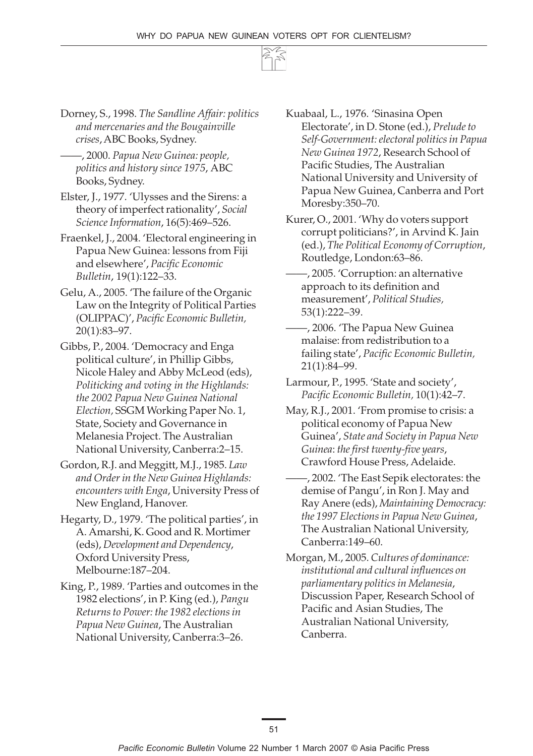

- Dorney, S., 1998. *The Sandline Affair: politics and mercenaries and the Bougainville crises*, ABC Books, Sydney.
	- ——, 2000. *Papua New Guinea: people, politics and history since 1975*, ABC Books, Sydney.
- Elster, J., 1977. 'Ulysses and the Sirens: a theory of imperfect rationality', *Social Science Information*, 16(5):469–526.
- Fraenkel, J., 2004. 'Electoral engineering in Papua New Guinea: lessons from Fiji and elsewhere', *Pacific Economic Bulletin*, 19(1):122–33.
- Gelu, A., 2005. 'The failure of the Organic Law on the Integrity of Political Parties (OLIPPAC)', *Pacific Economic Bulletin,* 20(1):83–97.
- Gibbs, P., 2004. 'Democracy and Enga political culture', in Phillip Gibbs, Nicole Haley and Abby McLeod (eds), *Politicking and voting in the Highlands: the 2002 Papua New Guinea National Election,* SSGM Working Paper No. 1, State, Society and Governance in Melanesia Project. The Australian National University, Canberra:2–15.
- Gordon, R.J. and Meggitt, M.J., 1985. *Law and Order in the New Guinea Highlands: encounters with Enga*, University Press of New England, Hanover.
- Hegarty, D., 1979. 'The political parties', in A. Amarshi, K. Good and R. Mortimer (eds), *Development and Dependency*, Oxford University Press, Melbourne:187–204.
- King, P., 1989. 'Parties and outcomes in the 1982 elections', in P. King (ed.), *Pangu Returns to Power: the 1982 elections in Papua New Guinea*, The Australian National University, Canberra:3–26.
- Kuabaal, L., 1976. 'Sinasina Open Electorate', in D. Stone (ed.), *Prelude to Self-Government: electoral politics in Papua New Guinea 1972*, Research School of Pacific Studies, The Australian National University and University of Papua New Guinea, Canberra and Port Moresby:350–70.
- Kurer, O., 2001. 'Why do voters support corrupt politicians?', in Arvind K. Jain (ed.), *The Political Economy of Corruption*, Routledge, London:63–86.
- ——, 2005. 'Corruption: an alternative approach to its definition and measurement', *Political Studies,* 53(1):222–39.
- ——, 2006. 'The Papua New Guinea malaise: from redistribution to a failing state', *Pacific Economic Bulletin,* 21(1):84–99.
- Larmour, P., 1995. 'State and society', *Pacific Economic Bulletin,* 10(1):42–7.
- May, R.J., 2001. 'From promise to crisis: a political economy of Papua New Guinea', *State and Society in Papua New Guinea*: *the first twenty-five years*, Crawford House Press, Adelaide.
- ——, 2002. 'The East Sepik electorates: the demise of Pangu', in Ron J. May and Ray Anere (eds), *Maintaining Democracy: the 1997 Elections in Papua New Guinea*, The Australian National University, Canberra:149–60.
- Morgan, M., 2005. *Cultures of dominance: institutional and cultural influences on parliamentary politics in Melanesia*, Discussion Paper, Research School of Pacific and Asian Studies, The Australian National University, Canberra.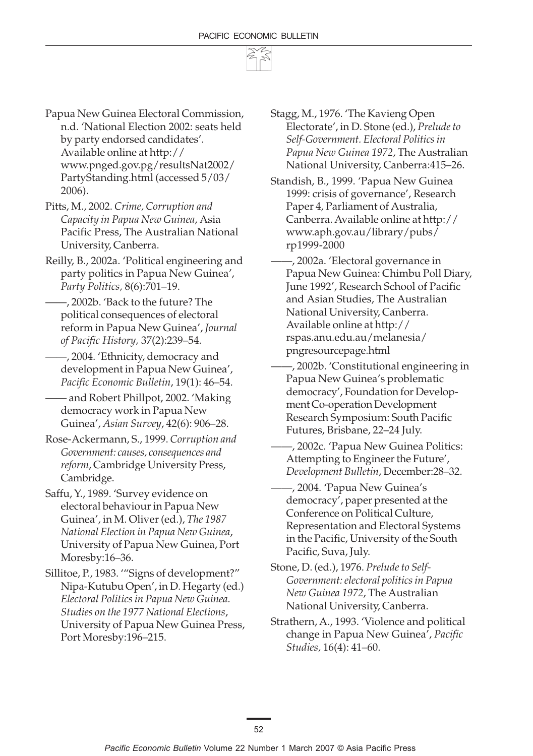

- Papua New Guinea Electoral Commission, n.d. 'National Election 2002: seats held by party endorsed candidates'. Available online at http:// www.pnged.gov.pg/resultsNat2002/ PartyStanding.html (accessed 5/03/ 2006).
- Pitts, M., 2002. *Crime, Corruption and Capacity in Papua New Guinea*, Asia Pacific Press, The Australian National University, Canberra.
- Reilly, B., 2002a. 'Political engineering and party politics in Papua New Guinea', *Party Politics,* 8(6):701–19.
- ——, 2002b. 'Back to the future? The political consequences of electoral reform in Papua New Guinea', *Journal of Pacific History,* 37(2):239–54.
- ——, 2004. 'Ethnicity, democracy and development in Papua New Guinea', *Pacific Economic Bulletin*, 19(1): 46–54.
- —— and Robert Phillpot, 2002. 'Making democracy work in Papua New Guinea', *Asian Survey*, 42(6): 906–28.
- Rose-Ackermann, S., 1999. *Corruption and Government: causes, consequences and reform*, Cambridge University Press, Cambridge.
- Saffu, Y., 1989. 'Survey evidence on electoral behaviour in Papua New Guinea', in M. Oliver (ed.), *The 1987 National Election in Papua New Guinea*, University of Papua New Guinea, Port Moresby:16–36.
- Sillitoe, P., 1983. '"Signs of development?" Nipa-Kutubu Open', in D. Hegarty (ed.) *Electoral Politics in Papua New Guinea. Studies on the 1977 National Elections*, University of Papua New Guinea Press, Port Moresby:196–215.
- Stagg, M., 1976. 'The Kavieng Open Electorate', in D. Stone (ed.), *Prelude to Self-Government. Electoral Politics in Papua New Guinea 1972*, The Australian National University, Canberra:415–26.
- Standish, B., 1999. 'Papua New Guinea 1999: crisis of governance', Research Paper 4, Parliament of Australia, Canberra. Available online at http:// www.aph.gov.au/library/pubs/ rp1999-2000
- ——, 2002a. 'Electoral governance in Papua New Guinea: Chimbu Poll Diary, June 1992', Research School of Pacific and Asian Studies, The Australian National University, Canberra. Available online at http:// rspas.anu.edu.au/melanesia/ pngresourcepage.html
- ——, 2002b. 'Constitutional engineering in Papua New Guinea's problematic democracy', Foundation for Development Co-operation Development Research Symposium: South Pacific Futures, Brisbane, 22–24 July.
- ——, 2002c. 'Papua New Guinea Politics: Attempting to Engineer the Future', *Development Bulletin*, December:28–32.
- ——, 2004. 'Papua New Guinea's democracy', paper presented at the Conference on Political Culture, Representation and Electoral Systems in the Pacific, University of the South Pacific, Suva, July.
- Stone, D. (ed.), 1976. *Prelude to Self-Government: electoral politics in Papua New Guinea 1972*, The Australian National University, Canberra.
- Strathern, A., 1993. 'Violence and political change in Papua New Guinea', *Pacific Studies,* 16(4): 41–60.